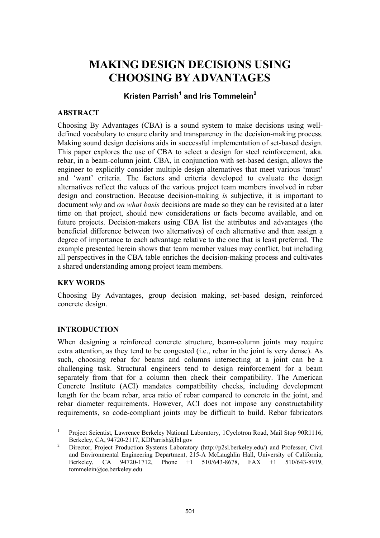# **MAKING DESIGN DECISIONS USING CHOOSING BY ADVANTAGES**

# **Kristen Parrish<sup>1</sup> and Iris Tommelein2**

# **ABSTRACT**

Choosing By Advantages (CBA) is a sound system to make decisions using welldefined vocabulary to ensure clarity and transparency in the decision-making process. Making sound design decisions aids in successful implementation of set-based design. This paper explores the use of CBA to select a design for steel reinforcement, aka. rebar, in a beam-column joint. CBA, in conjunction with set-based design, allows the engineer to explicitly consider multiple design alternatives that meet various 'must' and 'want' criteria. The factors and criteria developed to evaluate the design alternatives reflect the values of the various project team members involved in rebar design and construction. Because decision-making *is* subjective, it is important to document *why* and *on what basis* decisions are made so they can be revisited at a later time on that project, should new considerations or facts become available, and on future projects. Decision-makers using CBA list the attributes and advantages (the beneficial difference between two alternatives) of each alternative and then assign a degree of importance to each advantage relative to the one that is least preferred. The example presented herein shows that team member values may conflict, but including all perspectives in the CBA table enriches the decision-making process and cultivates a shared understanding among project team members.

# **KEY WORDS**

Choosing By Advantages, group decision making, set-based design, reinforced concrete design.

# **INTRODUCTION**

 $\overline{a}$ 

When designing a reinforced concrete structure, beam-column joints may require extra attention, as they tend to be congested (i.e., rebar in the joint is very dense). As such, choosing rebar for beams and columns intersecting at a joint can be a challenging task. Structural engineers tend to design reinforcement for a beam separately from that for a column then check their compatibility. The American Concrete Institute (ACI) mandates compatibility checks, including development length for the beam rebar, area ratio of rebar compared to concrete in the joint, and rebar diameter requirements. However, ACI does not impose any constructability requirements, so code-compliant joints may be difficult to build. Rebar fabricators

<sup>1</sup> Project Scientist, Lawrence Berkeley National Laboratory, 1Cyclotron Road, Mail Stop 90R1116, Berkeley, CA, 94720-2117, KDParrish@lbl.gov

Director, Project Production Systems Laboratory (http://p2sl.berkeley.edu/) and Professor, Civil and Environmental Engineering Department, 215-A McLaughlin Hall, University of California, Berkeley, CA 94720-1712, Phone +1 510/643-8678, FAX +1 510/643-8919, tommelein@ce.berkeley.edu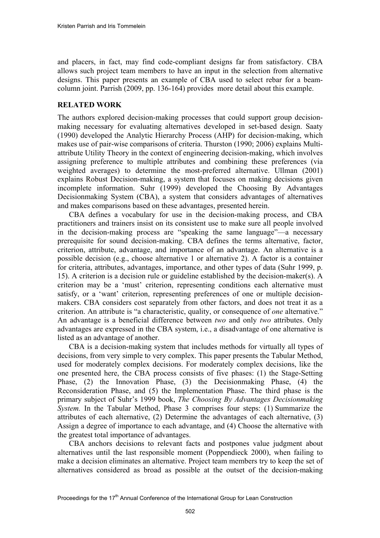and placers, in fact, may find code-compliant designs far from satisfactory. CBA allows such project team members to have an input in the selection from alternative designs. This paper presents an example of CBA used to select rebar for a beamcolumn joint. Parrish (2009, pp. 136-164) provides more detail about this example.

## **RELATED WORK**

The authors explored decision-making processes that could support group decisionmaking necessary for evaluating alternatives developed in set-based design. Saaty (1990) developed the Analytic Hierarchy Process (AHP) for decision-making, which makes use of pair-wise comparisons of criteria. Thurston (1990; 2006) explains Multiattribute Utility Theory in the context of engineering decision-making, which involves assigning preference to multiple attributes and combining these preferences (via weighted averages) to determine the most-preferred alternative. Ullman (2001) explains Robust Decision-making, a system that focuses on making decisions given incomplete information. Suhr (1999) developed the Choosing By Advantages Decisionmaking System (CBA), a system that considers advantages of alternatives and makes comparisons based on these advantages, presented herein.

CBA defines a vocabulary for use in the decision-making process, and CBA practitioners and trainers insist on its consistent use to make sure all people involved in the decision-making process are "speaking the same language"—a necessary prerequisite for sound decision-making. CBA defines the terms alternative, factor, criterion, attribute, advantage, and importance of an advantage. An alternative is a possible decision (e.g., choose alternative 1 or alternative 2). A factor is a container for criteria, attributes, advantages, importance, and other types of data (Suhr 1999, p. 15). A criterion is a decision rule or guideline established by the decision-maker(s). A criterion may be a 'must' criterion, representing conditions each alternative must satisfy, or a 'want' criterion, representing preferences of one or multiple decisionmakers. CBA considers cost separately from other factors, and does not treat it as a criterion. An attribute is "a characteristic, quality, or consequence of *one* alternative." An advantage is a beneficial difference between *two* and only *two* attributes. Only advantages are expressed in the CBA system, i.e., a disadvantage of one alternative is listed as an advantage of another.

CBA is a decision-making system that includes methods for virtually all types of decisions, from very simple to very complex. This paper presents the Tabular Method, used for moderately complex decisions. For moderately complex decisions, like the one presented here, the CBA process consists of five phases: (1) the Stage-Setting Phase, (2) the Innovation Phase, (3) the Decisionmaking Phase, (4) the Reconsideration Phase, and (5) the Implementation Phase. The third phase is the primary subject of Suhr's 1999 book, *The Choosing By Advantages Decisionmaking System.* In the Tabular Method, Phase 3 comprises four steps: (1) Summarize the attributes of each alternative, (2) Determine the advantages of each alternative, (3) Assign a degree of importance to each advantage, and (4) Choose the alternative with the greatest total importance of advantages.

CBA anchors decisions to relevant facts and postpones value judgment about alternatives until the last responsible moment (Poppendieck 2000), when failing to make a decision eliminates an alternative. Project team members try to keep the set of alternatives considered as broad as possible at the outset of the decision-making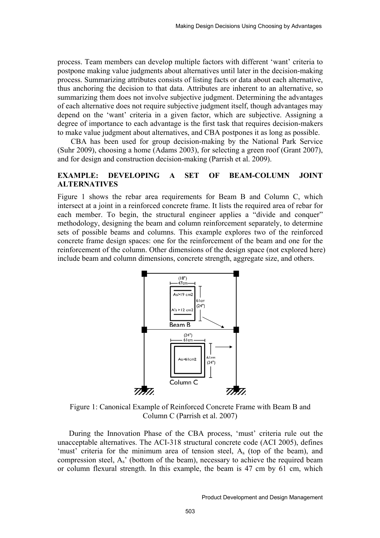process. Team members can develop multiple factors with different 'want' criteria to postpone making value judgments about alternatives until later in the decision-making process. Summarizing attributes consists of listing facts or data about each alternative, thus anchoring the decision to that data. Attributes are inherent to an alternative, so summarizing them does not involve subjective judgment. Determining the advantages of each alternative does not require subjective judgment itself, though advantages may depend on the 'want' criteria in a given factor, which are subjective. Assigning a degree of importance to each advantage is the first task that requires decision-makers to make value judgment about alternatives, and CBA postpones it as long as possible.

 CBA has been used for group decision-making by the National Park Service (Suhr 2009), choosing a home (Adams 2003), for selecting a green roof (Grant 2007), and for design and construction decision-making (Parrish et al. 2009).

## **EXAMPLE: DEVELOPING A SET OF BEAM-COLUMN JOINT ALTERNATIVES**

Figure 1 shows the rebar area requirements for Beam B and Column C, which intersect at a joint in a reinforced concrete frame. It lists the required area of rebar for each member. To begin, the structural engineer applies a "divide and conquer" methodology, designing the beam and column reinforcement separately, to determine sets of possible beams and columns. This example explores two of the reinforced concrete frame design spaces: one for the reinforcement of the beam and one for the reinforcement of the column. Other dimensions of the design space (not explored here) include beam and column dimensions, concrete strength, aggregate size, and others.



Figure 1: Canonical Example of Reinforced Concrete Frame with Beam B and Column C (Parrish et al. 2007)

During the Innovation Phase of the CBA process, 'must' criteria rule out the unacceptable alternatives. The ACI-318 structural concrete code (ACI 2005), defines 'must' criteria for the minimum area of tension steel,  $A_s$  (top of the beam), and compression steel, As' (bottom of the beam), necessary to achieve the required beam or column flexural strength. In this example, the beam is 47 cm by 61 cm, which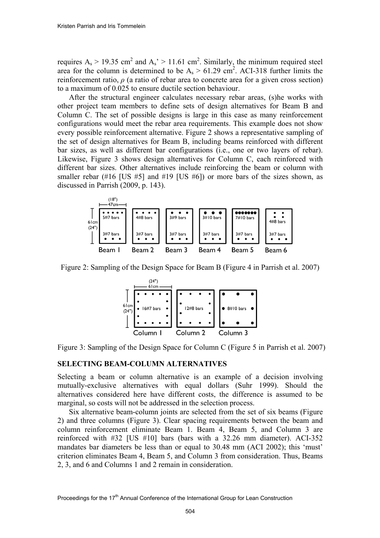requires  $A_s > 19.35$  cm<sup>2</sup> and  $A_s > 11.61$  cm<sup>2</sup>. Similarly, the minimum required steel area for the column is determined to be  $A_s > 61.29$  cm<sup>2</sup>. ACI-318 further limits the reinforcement ratio,  $\rho$  (a ratio of rebar area to concrete area for a given cross section) to a maximum of 0.025 to ensure ductile section behaviour.

After the structural engineer calculates necessary rebar areas, (s)he works with other project team members to define sets of design alternatives for Beam B and Column C. The set of possible designs is large in this case as many reinforcement configurations would meet the rebar area requirements. This example does not show every possible reinforcement alternative. Figure 2 shows a representative sampling of the set of design alternatives for Beam B, including beams reinforced with different bar sizes, as well as different bar configurations (i.e., one or two layers of rebar). Likewise, Figure 3 shows design alternatives for Column C, each reinforced with different bar sizes. Other alternatives include reinforcing the beam or column with smaller rebar  $(\#16$  [US  $\#5$ ] and  $\#19$  [US  $\#6$ ]) or more bars of the sizes shown, as discussed in Parrish (2009, p. 143).



Figure 2: Sampling of the Design Space for Beam B (Figure 4 in Parrish et al. 2007)



Figure 3: Sampling of the Design Space for Column C (Figure 5 in Parrish et al. 2007)

#### **SELECTING BEAM-COLUMN ALTERNATIVES**

Selecting a beam or column alternative is an example of a decision involving mutually-exclusive alternatives with equal dollars (Suhr 1999). Should the alternatives considered here have different costs, the difference is assumed to be marginal, so costs will not be addressed in the selection process.

Six alternative beam-column joints are selected from the set of six beams (Figure 2) and three columns (Figure 3). Clear spacing requirements between the beam and column reinforcement eliminate Beam 1. Beam 4, Beam 5, and Column 3 are reinforced with #32 [US #10] bars (bars with a 32.26 mm diameter). ACI-352 mandates bar diameters be less than or equal to 30.48 mm (ACI 2002); this 'must' criterion eliminates Beam 4, Beam 5, and Column 3 from consideration. Thus, Beams 2, 3, and 6 and Columns 1 and 2 remain in consideration.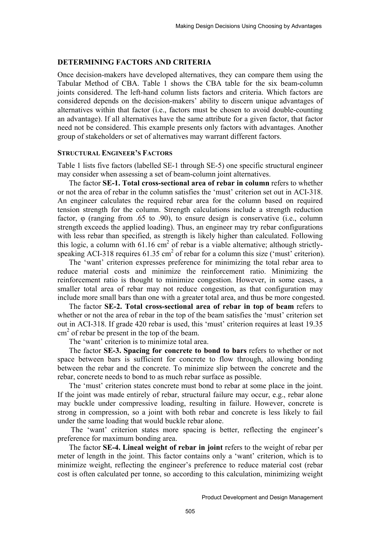#### **DETERMINING FACTORS AND CRITERIA**

Once decision-makers have developed alternatives, they can compare them using the Tabular Method of CBA. Table 1 shows the CBA table for the six beam-column joints considered. The left-hand column lists factors and criteria. Which factors are considered depends on the decision-makers' ability to discern unique advantages of alternatives within that factor (i.e., factors must be chosen to avoid double-counting an advantage). If all alternatives have the same attribute for a given factor, that factor need not be considered. This example presents only factors with advantages. Another group of stakeholders or set of alternatives may warrant different factors.

#### **STRUCTURAL ENGINEER'S FACTORS**

Table 1 lists five factors (labelled SE-1 through SE-5) one specific structural engineer may consider when assessing a set of beam-column joint alternatives.

The factor **SE-1. Total cross-sectional area of rebar in column** refers to whether or not the area of rebar in the column satisfies the 'must' criterion set out in ACI-318. An engineer calculates the required rebar area for the column based on required tension strength for the column. Strength calculations include a strength reduction factor, φ (ranging from .65 to .90), to ensure design is conservative (i.e., column strength exceeds the applied loading). Thus, an engineer may try rebar configurations with less rebar than specified, as strength is likely higher than calculated. Following this logic, a column with  $61.16 \text{ cm}^2$  of rebar is a viable alternative; although strictlyspeaking ACI-318 requires  $61.35 \text{ cm}^2$  of rebar for a column this size ('must' criterion).

The 'want' criterion expresses preference for minimizing the total rebar area to reduce material costs and minimize the reinforcement ratio. Minimizing the reinforcement ratio is thought to minimize congestion. However, in some cases, a smaller total area of rebar may not reduce congestion, as that configuration may include more small bars than one with a greater total area, and thus be more congested.

The factor **SE-2. Total cross-sectional area of rebar in top of beam** refers to whether or not the area of rebar in the top of the beam satisfies the 'must' criterion set out in ACI-318. If grade 420 rebar is used, this 'must' criterion requires at least 19.35  $\text{cm}^2$  of rebar be present in the top of the beam.

The 'want' criterion is to minimize total area.

The factor **SE-3. Spacing for concrete to bond to bars** refers to whether or not space between bars is sufficient for concrete to flow through, allowing bonding between the rebar and the concrete. To minimize slip between the concrete and the rebar, concrete needs to bond to as much rebar surface as possible.

The 'must' criterion states concrete must bond to rebar at some place in the joint. If the joint was made entirely of rebar, structural failure may occur, e.g., rebar alone may buckle under compressive loading, resulting in failure. However, concrete is strong in compression, so a joint with both rebar and concrete is less likely to fail under the same loading that would buckle rebar alone.

 The 'want' criterion states more spacing is better, reflecting the engineer's preference for maximum bonding area.

The factor **SE-4. Lineal weight of rebar in joint** refers to the weight of rebar per meter of length in the joint. This factor contains only a 'want' criterion, which is to minimize weight, reflecting the engineer's preference to reduce material cost (rebar cost is often calculated per tonne, so according to this calculation, minimizing weight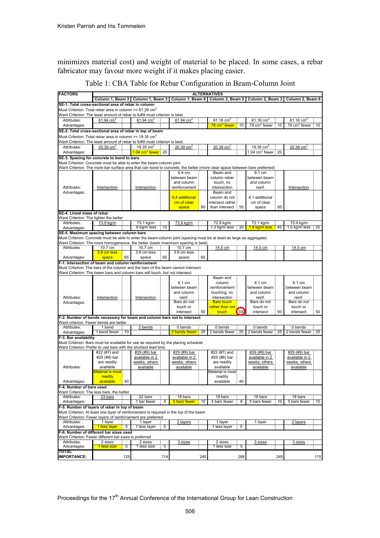minimizes material cost) and weight of material to be placed. In some cases, a rebar fabricator may favour more weight if it makes placing easier.

| Table 1: CBA Table for Rebar Configuration in Beam-Column Joint |  |  |  |  |  |  |  |  |
|-----------------------------------------------------------------|--|--|--|--|--|--|--|--|
|-----------------------------------------------------------------|--|--|--|--|--|--|--|--|

| <b>FACTORS</b>                                                                                                                                                                                            | <b>ALTERNATIVES</b>         |     |                                   |     |                        |     |                                      |      |                                       |       |                                       |                  |
|-----------------------------------------------------------------------------------------------------------------------------------------------------------------------------------------------------------|-----------------------------|-----|-----------------------------------|-----|------------------------|-----|--------------------------------------|------|---------------------------------------|-------|---------------------------------------|------------------|
|                                                                                                                                                                                                           |                             |     | Column 1, Beam 2 Column 1, Beam 3 |     | Column 1, Beam 6       |     | Column 2, Beam 2                     |      | Column 2, Beam 3                      |       | Column 2, Beam 6                      |                  |
| SE-1. Total cross-sectional area of rebar in column                                                                                                                                                       |                             |     |                                   |     |                        |     |                                      |      |                                       |       |                                       |                  |
| Must Criterion: Total rebar area in column >= 61.29 $\text{cm}^2$                                                                                                                                         |                             |     |                                   |     |                        |     |                                      |      |                                       |       |                                       |                  |
| Want Criterion: The least amount of rebar to fulfill must criterion is best                                                                                                                               |                             |     |                                   |     |                        |     |                                      |      |                                       |       |                                       |                  |
| Attributes:                                                                                                                                                                                               | 61.94 $cm2$                 |     | 61.94 $cm2$                       |     | 61.94 $cm2$            |     | 61.16 cm<br>78 cm <sup>2</sup> fewer | 10   | 61.16 cm<br>.78 cm <sup>2</sup> fewer | 10    | 61.16 cm<br>.78 cm <sup>2</sup> fewer | $\frac{1}{2}$ 10 |
| Advantages:<br>SE-2. Total cross-sectional area of rebar in top of beam                                                                                                                                   |                             |     |                                   |     |                        |     |                                      | ÷    |                                       |       |                                       |                  |
| Must Criterion: Total rebar area in column >= 19.35 cm <sup>2</sup>                                                                                                                                       |                             |     |                                   |     |                        |     |                                      |      |                                       |       |                                       |                  |
| Want Criterion: The least amount of rebar to fulfill must criterion is best                                                                                                                               |                             |     |                                   |     |                        |     |                                      |      |                                       |       |                                       |                  |
| Attributes:                                                                                                                                                                                               | 20.39 cm <sup>2</sup>       |     | 19.35 $cm2$                       |     | 20.39 cm               |     | 20.39 cm                             |      | 19.35 cm <sup>2</sup>                 |       | 20.39 cm                              |                  |
| Advantages:                                                                                                                                                                                               |                             |     | 1.04 cm <sup>2</sup> fewer        | 20  |                        |     |                                      |      |                                       |       |                                       |                  |
| SE-3. Spacing for concrete to bond to bars                                                                                                                                                                |                             |     |                                   |     |                        |     |                                      |      |                                       |       |                                       |                  |
| Must Criterion: Concrete must be able to enter the beam-column joint                                                                                                                                      |                             |     |                                   |     |                        |     |                                      |      |                                       |       |                                       |                  |
| Want Criterion: The more bar surface area that can bond to concrete, the better (more clear space between bars preferred)                                                                                 |                             |     |                                   |     |                        |     |                                      |      |                                       |       |                                       |                  |
|                                                                                                                                                                                                           |                             |     |                                   |     | 6.4 cm<br>between beam |     | Beam and<br>column rebar             |      | 6.1 cm<br>between beam                |       |                                       |                  |
|                                                                                                                                                                                                           |                             |     |                                   |     | and column             |     | touch, no                            |      | and column                            |       |                                       |                  |
| Attributes:                                                                                                                                                                                               | Intersection                |     | Intersection                      |     | reinforcement          |     | intersection                         |      | reinf.                                |       | Intersection                          |                  |
| Advantages:                                                                                                                                                                                               |                             |     |                                   |     |                        |     | Beam and                             |      |                                       |       |                                       |                  |
|                                                                                                                                                                                                           |                             |     |                                   |     | 6.4 additional         |     | column do not                        |      | 6.1 additional                        |       |                                       |                  |
|                                                                                                                                                                                                           |                             |     |                                   |     | cm of clear            |     | intersect rather:                    |      | cm of clear                           |       |                                       |                  |
| SE-4. Lineal mass of rebar                                                                                                                                                                                |                             |     |                                   |     | space                  | 90  | than intersect                       | 55   | space                                 | 85    |                                       |                  |
| Want Criterion: The lighter the better                                                                                                                                                                    |                             |     |                                   |     |                        |     |                                      |      |                                       |       |                                       |                  |
| Attributes:                                                                                                                                                                                               | 73.9 kg/m                   |     | 73.1 kg/m                         |     | 73.9 kg/m              |     | 72.9 kg/m                            |      | 72.1 kg/m                             |       | 72.9 kg/m                             |                  |
| Advantages:                                                                                                                                                                                               |                             |     | 8 kg/m less                       | 15  |                        |     | 1.0 kg/m less 20                     |      | 1.8 kg/m less                         | $-45$ | 1.0 kg/m less 20                      |                  |
| SE-5. Maximum spacing between column bars                                                                                                                                                                 |                             |     |                                   |     |                        |     |                                      |      |                                       |       |                                       |                  |
| Must Criterion: Concrete must be able to enter the beam-column joint (spacing must be at least as large as aggregate)<br>Want Criterion: The more homogeneous, the better (lower maximum spacing is best) |                             |     |                                   |     |                        |     |                                      |      |                                       |       |                                       |                  |
| Attributes:                                                                                                                                                                                               | 10.7 cm                     |     | 10.7 cm                           |     | 10.7 cm                |     |                                      |      |                                       |       |                                       |                  |
|                                                                                                                                                                                                           | <mark>3.8 cm less</mark>    |     | 3.8 cm less                       |     | 3.8 cm less            |     | 14.5 cm                              |      | 14.5 cm                               |       | 14.5 cm                               |                  |
| Advantages:                                                                                                                                                                                               | space                       | 65  | space                             | 65  | space                  | 65  |                                      |      |                                       |       |                                       |                  |
| F-1. Intersection of beam and column reinforcement                                                                                                                                                        |                             |     |                                   |     |                        |     |                                      |      |                                       |       |                                       |                  |
| Must Criterion: The bars of the column and the bars of the beam cannot intersect                                                                                                                          |                             |     |                                   |     |                        |     |                                      |      |                                       |       |                                       |                  |
| Want Criterion: The beam bars and column bars will touch, but not intersect                                                                                                                               |                             |     |                                   |     |                        |     |                                      |      |                                       |       |                                       |                  |
|                                                                                                                                                                                                           |                             |     |                                   |     | 6.1 cm                 |     | Beam and<br>column                   |      | 6.1 cm                                |       | 6.1 cm                                |                  |
|                                                                                                                                                                                                           |                             |     |                                   |     | between beam           |     | reinforcement                        |      | between beam                          |       | between beam                          |                  |
|                                                                                                                                                                                                           |                             |     |                                   |     | and column             |     | touching, no                         |      | and column                            |       | and column                            |                  |
| Attributes:                                                                                                                                                                                               | Intersection                |     | Intersection                      |     | reinf.                 |     | intersection                         |      | reinf.                                |       | reinf.                                |                  |
| Advantages:                                                                                                                                                                                               |                             |     |                                   |     | Bars do not            |     | <b>Bars</b> touch                    |      | Bars do not                           |       | Bars do not                           |                  |
|                                                                                                                                                                                                           |                             |     |                                   |     | touch or               | 50  | rather than not L                    | (100 | touch or                              | 50    | touch or                              | 50               |
| touch<br>intersect<br>intersect<br>intersect<br>F-2. Number of bends necessary for beam and column bars not to intersect                                                                                  |                             |     |                                   |     |                        |     |                                      |      |                                       |       |                                       |                  |
| Want criterion: Fewer bends are better                                                                                                                                                                    |                             |     |                                   |     |                        |     |                                      |      |                                       |       |                                       |                  |
| Attributes:                                                                                                                                                                                               | 1 bend                      |     | <br><u>2 bends</u>                |     | 0 bends                |     | 0 bends                              |      | 0 bends                               |       | 0 bends                               |                  |
| Advantages:                                                                                                                                                                                               | 1 bend fewer                | '10 |                                   |     | <b>2</b> bends fewer   | 25  | 2 bends fewer                        |      | 2 bends fewer                         | 25    | 2 bends fewer                         | 25               |
| F-3. Bar availability<br>Must Criterion: Bars must be available for use as required by the placing schedule                                                                                               |                             |     |                                   |     |                        |     |                                      |      |                                       |       |                                       |                  |
| Want Criterion: Prefer to use bars with the shortest lead time                                                                                                                                            |                             |     |                                   |     |                        |     |                                      |      |                                       |       |                                       |                  |
|                                                                                                                                                                                                           | #22 (#7) and                |     | #29 (#9) bar                      |     | #29 (#9) bar           |     | #22 (#7) and                         |      | #29 (#9) bar                          |       | #29 (#9) bar                          |                  |
|                                                                                                                                                                                                           | #25 (#8) bar                |     | available in 2                    |     | available in 2         |     | #25 (#8) bar                         |      | available in 2                        |       | available in 2                        |                  |
|                                                                                                                                                                                                           | are readily                 |     | weeks; others                     |     | weeks; others          |     | are readily                          |      | weeks; others                         |       | weeks; others                         |                  |
| Attributes:                                                                                                                                                                                               | available                   |     | available                         |     | <u>available</u>       |     | available                            |      | <u>available</u>                      |       | available                             |                  |
|                                                                                                                                                                                                           | Material is most<br>readily |     |                                   |     |                        |     | Material is most:<br>readily         |      |                                       |       |                                       |                  |
| Advantages:                                                                                                                                                                                               | available                   | 40  |                                   |     |                        |     | available                            | 40   |                                       |       |                                       |                  |
| F-4. Number of bars used                                                                                                                                                                                  |                             |     |                                   |     |                        |     |                                      |      |                                       |       |                                       |                  |
| Want Criterion: The less bars, the better                                                                                                                                                                 |                             |     |                                   |     |                        |     |                                      |      |                                       |       |                                       |                  |
| Attributes:                                                                                                                                                                                               | 23 bars                     |     | 22 bars<br>1 bar fewer            |     | 18 bars                |     | 19 bars                              |      | 18 bars                               |       | 18 bars                               |                  |
| Advantages:                                                                                                                                                                                               |                             |     |                                   |     | 5 bars fewer           | 10  | 4 bars fewer                         |      | 5 bars fewer                          | 10    | 5 bars fewer                          | 10               |
| F-5. Number of layers of rebar in top of beam                                                                                                                                                             |                             |     |                                   |     |                        |     |                                      |      |                                       |       |                                       |                  |
| Must Criterion: At least one layer of reinforcement is required in the top of the beam<br>Want Criterion: Fewer lavers of reinforcement are preferred                                                     |                             |     |                                   |     |                        |     |                                      |      |                                       |       |                                       |                  |
| Attributes:                                                                                                                                                                                               | 1 layer                     |     | 1 layer                           |     | <br>2 layers           |     | 1 layer                              |      | 1 layer                               |       | 2 layers                              |                  |
| Advantages:                                                                                                                                                                                               | 1 less layer                | 5   | 1 less layer                      | 5   |                        |     | 1 less layer                         | 5    |                                       |       |                                       |                  |
| F-6. Number of different bar sizes used                                                                                                                                                                   |                             |     |                                   |     |                        |     |                                      |      |                                       |       |                                       |                  |
| Want Criterion: Fewer different bar sizes is preferred                                                                                                                                                    |                             |     |                                   |     |                        |     |                                      |      |                                       |       |                                       |                  |
| Attributes:                                                                                                                                                                                               | 2 sizes<br>1 less size      | 5   | 2 sizes<br>1 less size            | 5   | 3 sizes                |     | 2 sizes<br>1 less size               | 5    | 3 sizes                               |       | 3 sizes                               |                  |
| Advantages:<br>τοται                                                                                                                                                                                      |                             |     |                                   |     |                        |     |                                      |      |                                       |       |                                       |                  |
| <b>IMPORTANCE:</b>                                                                                                                                                                                        |                             | 125 |                                   | 114 |                        | 240 |                                      | 268  |                                       | 245   |                                       | 115              |
|                                                                                                                                                                                                           |                             |     |                                   |     |                        |     |                                      |      |                                       |       |                                       |                  |

Proceedings for the 17<sup>th</sup> Annual Conference of the International Group for Lean Construction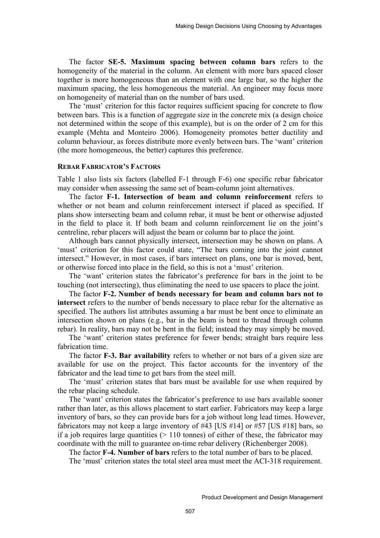The factor **SE-5. Maximum spacing between column bars** refers to the homogeneity of the material in the column. An element with more bars spaced closer together is more homogeneous than an element with one large bar, so the higher the maximum spacing, the less homogeneous the material. An engineer may focus more on homogeneity of material than on the number of bars used.

The 'must' criterion for this factor requires sufficient spacing for concrete to flow between bars. This is a function of aggregate size in the concrete mix (a design choice not determined within the scope of this example), but is on the order of 2 cm for this example (Mehta and Monteiro 2006). Homogeneity promotes better ductility and column behaviour, as forces distribute more evenly between bars. The 'want' criterion (the more homogeneous, the better) captures this preference.

#### **REBAR FABRICATOR'S FACTORS**

Table 1 also lists six factors (labelled F-1 through F-6) one specific rebar fabricator may consider when assessing the same set of beam-column joint alternatives.

The factor **F-1. Intersection of beam and column reinforcement** refers to whether or not beam and column reinforcement intersect if placed as specified. If plans show intersecting beam and column rebar, it must be bent or otherwise adjusted in the field to place it. If both beam and column reinforcement lie on the joint's centreline, rebar placers will adjust the beam or column bar to place the joint.

Although bars cannot physically intersect, intersection may be shown on plans. A 'must' criterion for this factor could state, "The bars coming into the joint cannot intersect." However, in most cases, if bars intersect on plans, one bar is moved, bent, or otherwise forced into place in the field, so this is not a 'must' criterion.

The 'want' criterion states the fabricator's preference for bars in the joint to be touching (not intersecting), thus eliminating the need to use spacers to place the joint.

The factor **F-2. Number of bends necessary for beam and column bars not to intersect** refers to the number of bends necessary to place rebar for the alternative as specified. The authors list attributes assuming a bar must be bent once to eliminate an intersection shown on plans (e.g., bar in the beam is bent to thread through column rebar). In reality, bars may not be bent in the field; instead they may simply be moved.

The 'want' criterion states preference for fewer bends; straight bars require less fabrication time.

The factor **F-3. Bar availability** refers to whether or not bars of a given size are available for use on the project. This factor accounts for the inventory of the fabricator and the lead time to get bars from the steel mill.

The 'must' criterion states that bars must be available for use when required by the rebar placing schedule.

The 'want' criterion states the fabricator's preference to use bars available sooner rather than later, as this allows placement to start earlier. Fabricators may keep a large inventory of bars, so they can provide bars for a job without long lead times. However, fabricators may not keep a large inventory of #43 [US #14] or #57 [US #18] bars, so if a job requires large quantities  $(> 110 \text{ tonnes})$  of either of these, the fabricator may coordinate with the mill to guarantee on-time rebar delivery (Richenberger 2008).

The factor **F-4. Number of bars** refers to the total number of bars to be placed.

The 'must' criterion states the total steel area must meet the ACI-318 requirement.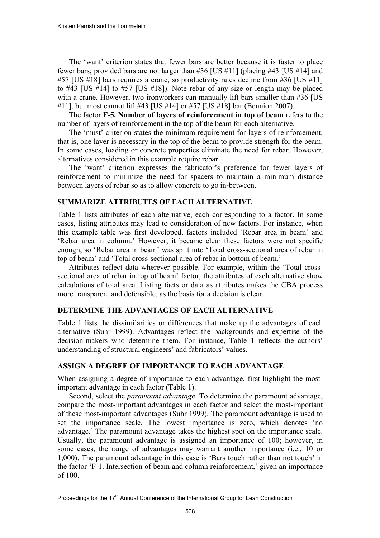The 'want' criterion states that fewer bars are better because it is faster to place fewer bars; provided bars are not larger than #36 [US #11] (placing #43 [US #14] and #57 [US #18] bars requires a crane, so productivity rates decline from #36 [US #11] to #43 [US #14] to #57 [US #18]). Note rebar of any size or length may be placed with a crane. However, two ironworkers can manually lift bars smaller than #36 [US #11], but most cannot lift #43 [US #14] or #57 [US #18] bar (Bennion 2007).

The factor **F-5. Number of layers of reinforcement in top of beam** refers to the number of layers of reinforcement in the top of the beam for each alternative.

The 'must' criterion states the minimum requirement for layers of reinforcement, that is, one layer is necessary in the top of the beam to provide strength for the beam. In some cases, loading or concrete properties eliminate the need for rebar. However, alternatives considered in this example require rebar.

The 'want' criterion expresses the fabricator's preference for fewer layers of reinforcement to minimize the need for spacers to maintain a minimum distance between layers of rebar so as to allow concrete to go in-between.

## **SUMMARIZE ATTRIBUTES OF EACH ALTERNATIVE**

Table 1 lists attributes of each alternative, each corresponding to a factor. In some cases, listing attributes may lead to consideration of new factors. For instance, when this example table was first developed, factors included 'Rebar area in beam' and 'Rebar area in column.' However, it became clear these factors were not specific enough, so 'Rebar area in beam' was split into 'Total cross-sectional area of rebar in top of beam' and 'Total cross-sectional area of rebar in bottom of beam.'

Attributes reflect data wherever possible. For example, within the 'Total crosssectional area of rebar in top of beam' factor, the attributes of each alternative show calculations of total area. Listing facts or data as attributes makes the CBA process more transparent and defensible, as the basis for a decision is clear.

## **DETERMINE THE ADVANTAGES OF EACH ALTERNATIVE**

Table 1 lists the dissimilarities or differences that make up the advantages of each alternative (Suhr 1999). Advantages reflect the backgrounds and expertise of the decision-makers who determine them. For instance, Table 1 reflects the authors' understanding of structural engineers' and fabricators' values.

## **ASSIGN A DEGREE OF IMPORTANCE TO EACH ADVANTAGE**

When assigning a degree of importance to each advantage, first highlight the mostimportant advantage in each factor (Table 1).

Second, select the *paramount advantage*. To determine the paramount advantage, compare the most-important advantages in each factor and select the most-important of these most-important advantages (Suhr 1999). The paramount advantage is used to set the importance scale. The lowest importance is zero, which denotes 'no advantage.' The paramount advantage takes the highest spot on the importance scale. Usually, the paramount advantage is assigned an importance of 100; however, in some cases, the range of advantages may warrant another importance (i.e., 10 or 1,000). The paramount advantage in this case is 'Bars touch rather than not touch' in the factor 'F-1. Intersection of beam and column reinforcement,' given an importance of 100.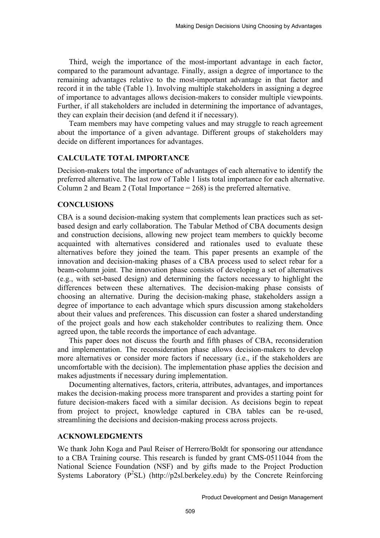Third, weigh the importance of the most-important advantage in each factor, compared to the paramount advantage. Finally, assign a degree of importance to the remaining advantages relative to the most-important advantage in that factor and record it in the table (Table 1). Involving multiple stakeholders in assigning a degree of importance to advantages allows decision-makers to consider multiple viewpoints. Further, if all stakeholders are included in determining the importance of advantages, they can explain their decision (and defend it if necessary).

Team members may have competing values and may struggle to reach agreement about the importance of a given advantage. Different groups of stakeholders may decide on different importances for advantages.

## **CALCULATE TOTAL IMPORTANCE**

Decision-makers total the importance of advantages of each alternative to identify the preferred alternative. The last row of Table 1 lists total importance for each alternative. Column 2 and Beam 2 (Total Importance = 268) is the preferred alternative.

#### **CONCLUSIONS**

CBA is a sound decision-making system that complements lean practices such as setbased design and early collaboration. The Tabular Method of CBA documents design and construction decisions, allowing new project team members to quickly become acquainted with alternatives considered and rationales used to evaluate these alternatives before they joined the team. This paper presents an example of the innovation and decision-making phases of a CBA process used to select rebar for a beam-column joint. The innovation phase consists of developing a set of alternatives (e.g., with set-based design) and determining the factors necessary to highlight the differences between these alternatives. The decision-making phase consists of choosing an alternative. During the decision-making phase, stakeholders assign a degree of importance to each advantage which spurs discussion among stakeholders about their values and preferences. This discussion can foster a shared understanding of the project goals and how each stakeholder contributes to realizing them. Once agreed upon, the table records the importance of each advantage.

This paper does not discuss the fourth and fifth phases of CBA, reconsideration and implementation. The reconsideration phase allows decision-makers to develop more alternatives or consider more factors if necessary (i.e., if the stakeholders are uncomfortable with the decision). The implementation phase applies the decision and makes adjustments if necessary during implementation.

Documenting alternatives, factors, criteria, attributes, advantages, and importances makes the decision-making process more transparent and provides a starting point for future decision-makers faced with a similar decision. As decisions begin to repeat from project to project, knowledge captured in CBA tables can be re-used, streamlining the decisions and decision-making process across projects.

#### **ACKNOWLEDGMENTS**

We thank John Koga and Paul Reiser of Herrero/Boldt for sponsoring our attendance to a CBA Training course. This research is funded by grant CMS-0511044 from the National Science Foundation (NSF) and by gifts made to the Project Production Systems Laboratory ( $P^2$ SL) (http://p2sl.berkeley.edu) by the Concrete Reinforcing